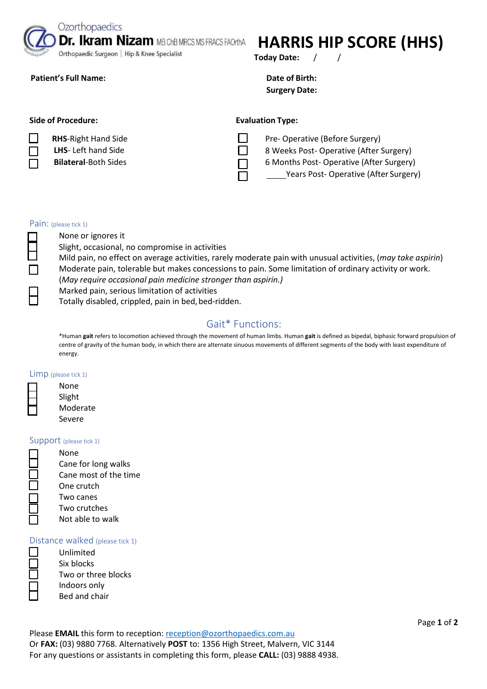Ozorthopaedics

**Dr. Ikram Nizam MB ChB MRCS MS FRACS FAOrthA** 

Orthopaedic Surgeon | Hip & Knee Specialist

### **Patient's Full Name:**  $\qquad \qquad$  **Date of Birth:**  $\qquad \qquad$  **Date of Birth:**  $\qquad \qquad$

# **HARRIS HIP SCORE (HHS)**

**Today Date:** / /

**Surgery Date:** 

## Side of Procedure: **Evaluation Type: Evaluation Type:**

**RHS**-Right Hand Side

- **LHS** Left hand Side
- **Bilateral**-Both Sides

П

Pre- Operative (Before Surgery)

8 Weeks Post- Operative (After Surgery)

6 Months Post- Operative (After Surgery)

Years Post- Operative (After Surgery)

#### Pain: (please tick 1)

None or ignores it Slight, occasional, no compromise in activities

Mild pain, no effect on average activities, rarely moderate pain with unusual activities, (*may take aspirin*) Moderate pain, tolerable but makes concessions to pain. Some limitation of ordinary activity or work. (*May require occasional pain medicine stronger than aspirin.)* 

Marked pain, serious limitation of activities

Totally disabled, crippled, pain in bed, bed-ridden.

# Gait\* Functions:

\*Human **gait** refers to locomotion achieved through the movement of human limbs. Human **gait** is defined as bipedal, biphasic forward propulsion of centre of gravity of the human body, in which there are alternate sinuous movements of different segments of the body with least expenditure of energy.

#### Limp (please tick 1)

| None     |
|----------|
| Slight   |
| Moderate |
| Severe   |

#### Support (please tick 1)

None Cane for long walks Cane most of the time One crutch Two canes Two crutches Not able to walk

#### Distance walked (please tick 1)

Unlimited Six blocks Two or three blocks Indoors only Bed and chair